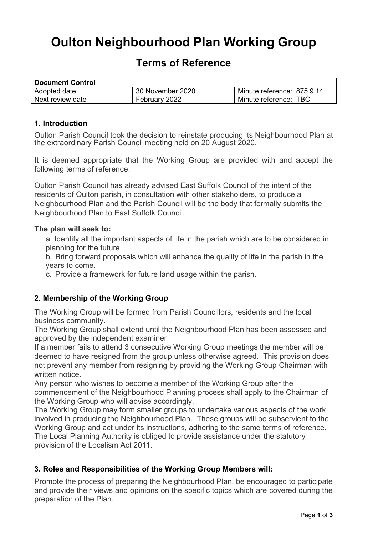# **Oulton Neighbourhood Plan Working Group**

# **Terms of Reference**

| <b>Document Control</b> |                  |                            |
|-------------------------|------------------|----------------------------|
| Adopted date            | 30 November 2020 | Minute reference: 875.9.14 |
| Next review date        | February 2022    | Minute reference: TBC      |

#### **1. Introduction**

Oulton Parish Council took the decision to reinstate producing its Neighbourhood Plan at the extraordinary Parish Council meeting held on 20 August 2020.

It is deemed appropriate that the Working Group are provided with and accept the following terms of reference.

Oulton Parish Council has already advised East Suffolk Council of the intent of the residents of Oulton parish, in consultation with other stakeholders, to produce a Neighbourhood Plan and the Parish Council will be the body that formally submits the Neighbourhood Plan to East Suffolk Council.

#### **The plan will seek to:**

a. Identify all the important aspects of life in the parish which are to be considered in planning for the future

b. Bring forward proposals which will enhance the quality of life in the parish in the years to come.

c. Provide a framework for future land usage within the parish.

#### **2. Membership of the Working Group**

The Working Group will be formed from Parish Councillors, residents and the local business community.

The Working Group shall extend until the Neighbourhood Plan has been assessed and approved by the independent examiner

If a member fails to attend 3 consecutive Working Group meetings the member will be deemed to have resigned from the group unless otherwise agreed. This provision does not prevent any member from resigning by providing the Working Group Chairman with written notice.

Any person who wishes to become a member of the Working Group after the commencement of the Neighbourhood Planning process shall apply to the Chairman of the Working Group who will advise accordingly.

The Working Group may form smaller groups to undertake various aspects of the work involved in producing the Neighbourhood Plan. These groups will be subservient to the Working Group and act under its instructions, adhering to the same terms of reference. The Local Planning Authority is obliged to provide assistance under the statutory provision of the Localism Act 2011.

#### **3. Roles and Responsibilities of the Working Group Members will:**

Promote the process of preparing the Neighbourhood Plan, be encouraged to participate and provide their views and opinions on the specific topics which are covered during the preparation of the Plan.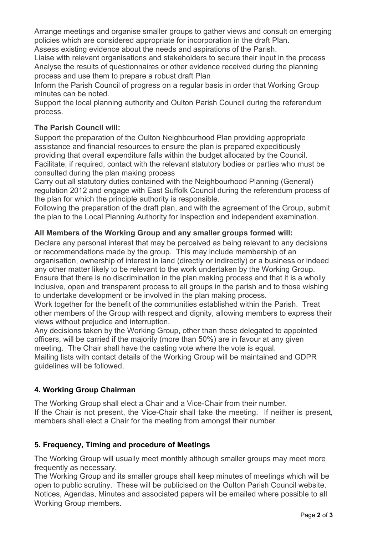Arrange meetings and organise smaller groups to gather views and consult on emerging policies which are considered appropriate for incorporation in the draft Plan.

Assess existing evidence about the needs and aspirations of the Parish.

Liaise with relevant organisations and stakeholders to secure their input in the process Analyse the results of questionnaires or other evidence received during the planning process and use them to prepare a robust draft Plan

Inform the Parish Council of progress on a regular basis in order that Working Group minutes can be noted.

Support the local planning authority and Oulton Parish Council during the referendum process.

## **The Parish Council will:**

Support the preparation of the Oulton Neighbourhood Plan providing appropriate assistance and financial resources to ensure the plan is prepared expeditiously providing that overall expenditure falls within the budget allocated by the Council. Facilitate, if required, contact with the relevant statutory bodies or parties who must be consulted during the plan making process

Carry out all statutory duties contained with the Neighbourhood Planning (General) regulation 2012 and engage with East Suffolk Council during the referendum process of the plan for which the principle authority is responsible.

Following the preparation of the draft plan, and with the agreement of the Group, submit the plan to the Local Planning Authority for inspection and independent examination.

#### **All Members of the Working Group and any smaller groups formed will:**

Declare any personal interest that may be perceived as being relevant to any decisions or recommendations made by the group. This may include membership of an organisation, ownership of interest in land (directly or indirectly) or a business or indeed any other matter likely to be relevant to the work undertaken by the Working Group. Ensure that there is no discrimination in the plan making process and that it is a wholly inclusive, open and transparent process to all groups in the parish and to those wishing to undertake development or be involved in the plan making process.

Work together for the benefit of the communities established within the Parish. Treat other members of the Group with respect and dignity, allowing members to express their views without prejudice and interruption.

Any decisions taken by the Working Group, other than those delegated to appointed officers, will be carried if the majority (more than 50%) are in favour at any given meeting. The Chair shall have the casting vote where the vote is equal.

Mailing lists with contact details of the Working Group will be maintained and GDPR guidelines will be followed.

# **4. Working Group Chairman**

The Working Group shall elect a Chair and a Vice-Chair from their number. If the Chair is not present, the Vice-Chair shall take the meeting. If neither is present, members shall elect a Chair for the meeting from amongst their number

# **5. Frequency, Timing and procedure of Meetings**

The Working Group will usually meet monthly although smaller groups may meet more frequently as necessary.

The Working Group and its smaller groups shall keep minutes of meetings which will be open to public scrutiny. These will be publicised on the Oulton Parish Council website. Notices, Agendas, Minutes and associated papers will be emailed where possible to all Working Group members.